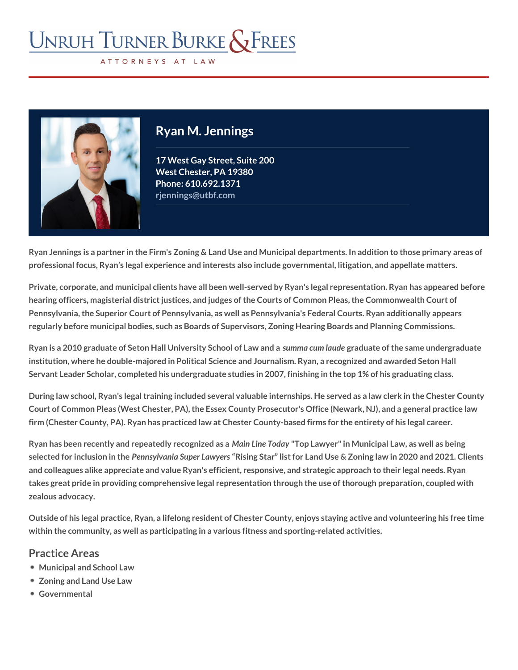# Ryan M. Jennings

17 West Gay Street, Suite 200 West Chester, PA 19380 Phon@10.692.1371 [rjennings@utbf.com](mailto:rjennings@utbf.com)

Ryan Jennings is a partner in the Firm's Zoning & Land Use and Municipal departm professional focus, Ryan s legal experience and interests also include government

Private, corporate, and municipal clients have all been well-served by Ryan's lega hearing officers, magisterial district justices, and judges of the Courts of Common Pennsylvania, the Superior Court of Pennsylvania, as well as Pennsylvania's Fede regularly before municipal bodies, such as Boards of Supervisors, Zoning Hearing

Ryan is a 2010 graduate of Seton Hall Univseumsinhya Scouhno of blaomotical and orafnich ea same underg institution, where he double-majored in Political Science and Journalism. Ryan, a Servant Leader Scholar, completed his undergraduate studies in 2007, finishing in

During law school, Ryan's legal training included several valuable internships. He Court of Common Pleas (West Chester, PA), the Essex County Prosecutor's Office firm (Chester County, PA). Ryan has practiced law at Chester County-based firms

Ryan has been recently and repeatMedin Leineg homology Las weer" in Municipal Law, as we selected for incluBieon msinyltBanengiar Law Ressing Star list for Land Use & Zoning law in 2021. and colleagues alike appreciate and value Ryan's efficient, responsive, and strate takes great pride in providing comprehensive legal representation through the use zealous advocacy.

Outside of his legal practice, Ryan, a lifelong resident of Chester County, enjoys within the community, as well as participating in a various fitness and sporting-re

#### Practice Areas

[Municipal and S](/practices/municipal-school-law/)chool Law [Zoning and Land](/practices/zoning-land-use-law/) Use Law [Governme](/practices/governmental/)ntal